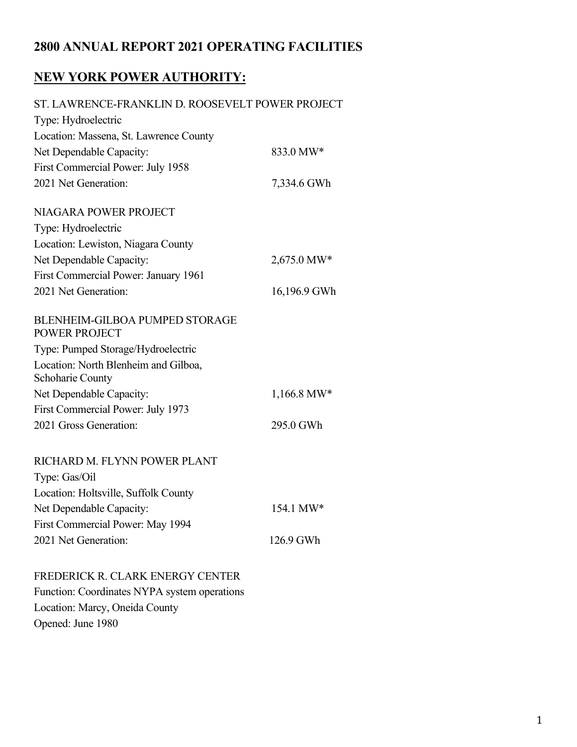### **2800 ANNUAL REPORT 2021 OPERATING FACILITIES**

# **NEW YORK POWER AUTHORITY:**

| ST. LAWRENCE-FRANKLIN D. ROOSEVELT POWER PROJECT              |               |
|---------------------------------------------------------------|---------------|
| Type: Hydroelectric                                           |               |
| Location: Massena, St. Lawrence County                        |               |
| Net Dependable Capacity:                                      | 833.0 MW*     |
| First Commercial Power: July 1958                             |               |
| 2021 Net Generation:                                          | 7,334.6 GWh   |
| NIAGARA POWER PROJECT                                         |               |
| Type: Hydroelectric                                           |               |
| Location: Lewiston, Niagara County                            |               |
| Net Dependable Capacity:                                      | 2,675.0 MW*   |
| First Commercial Power: January 1961                          |               |
| 2021 Net Generation:                                          | 16,196.9 GWh  |
| <b>BLENHEIM-GILBOA PUMPED STORAGE</b><br><b>POWER PROJECT</b> |               |
| Type: Pumped Storage/Hydroelectric                            |               |
| Location: North Blenheim and Gilboa,<br>Schoharie County      |               |
| Net Dependable Capacity:                                      | $1,166.8$ MW* |
| First Commercial Power: July 1973                             |               |
| 2021 Gross Generation:                                        | 295.0 GWh     |
| RICHARD M. FLYNN POWER PLANT                                  |               |
| Type: Gas/Oil                                                 |               |
| Location: Holtsville, Suffolk County                          |               |
| Net Dependable Capacity:                                      | 154.1 MW*     |
| First Commercial Power: May 1994                              |               |
| 2021 Net Generation:                                          | 126.9 GWh     |

### FREDERICK R. CLARK ENERGY CENTER

Function: Coordinates NYPA system operations Location: Marcy, Oneida County Opened: June 1980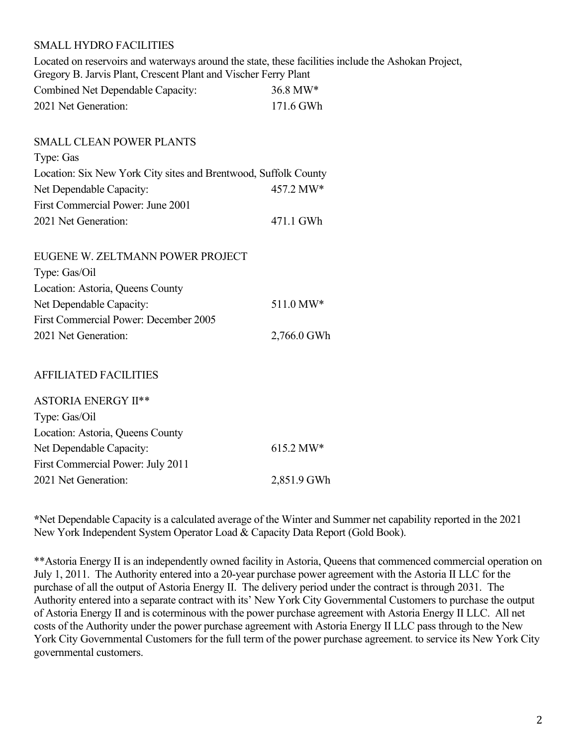#### SMALL HYDRO FACILITIES

Located on reservoirs and waterways around the state, these facilities include the Ashokan Project, Gregory B. Jarvis Plant, Crescent Plant and Vischer Ferry Plant

| Combined Net Dependable Capacity: | $36.8 \text{ MW*}$ |
|-----------------------------------|--------------------|
| 2021 Net Generation:              | 171.6 GWh          |

### SMALL CLEAN POWER PLANTS Type: Gas Location: Six New York City sites and Brentwood, Suffolk County Net Dependable Capacity:  $457.2 \text{ MW*}$ First Commercial Power: June 2001 2021 Net Generation: 471.1 GWh

| EUGENE W. ZELTMANN POWER PROJECT             |             |
|----------------------------------------------|-------------|
| Type: Gas/Oil                                |             |
| Location: Astoria, Queens County             |             |
| Net Dependable Capacity:                     | 511.0 MW*   |
| <b>First Commercial Power: December 2005</b> |             |
| 2021 Net Generation:                         | 2,766.0 GWh |

#### AFFILIATED FACILITIES

| $615.2 \text{ MW*}$ |
|---------------------|
|                     |
| 2,851.9 GWh         |
|                     |

**\***Net Dependable Capacity is a calculated average of the Winter and Summer net capability reported in the 2021 New York Independent System Operator Load & Capacity Data Report (Gold Book).

\*\*Astoria Energy II is an independently owned facility in Astoria, Queens that commenced commercial operation on July 1, 2011. The Authority entered into a 20-year purchase power agreement with the Astoria II LLC for the purchase of all the output of Astoria Energy II. The delivery period under the contract is through 2031. The Authority entered into a separate contract with its' New York City Governmental Customers to purchase the output of Astoria Energy II and is coterminous with the power purchase agreement with Astoria Energy II LLC. All net costs of the Authority under the power purchase agreement with Astoria Energy II LLC pass through to the New York City Governmental Customers for the full term of the power purchase agreement. to service its New York City governmental customers.